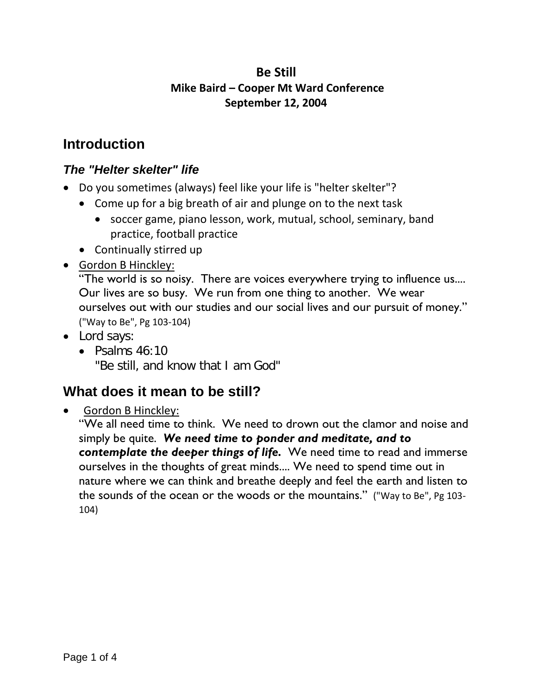### **Be Still Mike Baird – Cooper Mt Ward Conference September 12, 2004**

# **Introduction**

#### *The "Helter skelter" life*

- Do you sometimes (always) feel like your life is "helter skelter"?
	- Come up for a big breath of air and plunge on to the next task
		- soccer game, piano lesson, work, mutual, school, seminary, band practice, football practice
	- Continually stirred up
- Gordon B Hinckley:

"The world is so noisy. There are voices everywhere trying to influence us.... Our lives are so busy. We run from one thing to another. We wear ourselves out with our studies and our social lives and our pursuit of money." ("Way to Be", Pg 103-104)

- Lord says:
	- Psalms  $46:10$ "Be still, and know that I am God"

# **What does it mean to be still?**

#### • Gordon B Hinckley:

"We all need time to think. We need to drown out the clamor and noise and simply be quite. *We need time to ponder and meditate, and to contemplate the deeper things of life.* We need time to read and immerse ourselves in the thoughts of great minds.... We need to spend time out in nature where we can think and breathe deeply and feel the earth and listen to the sounds of the ocean or the woods or the mountains." ("Way to Be", Pg 103- 104)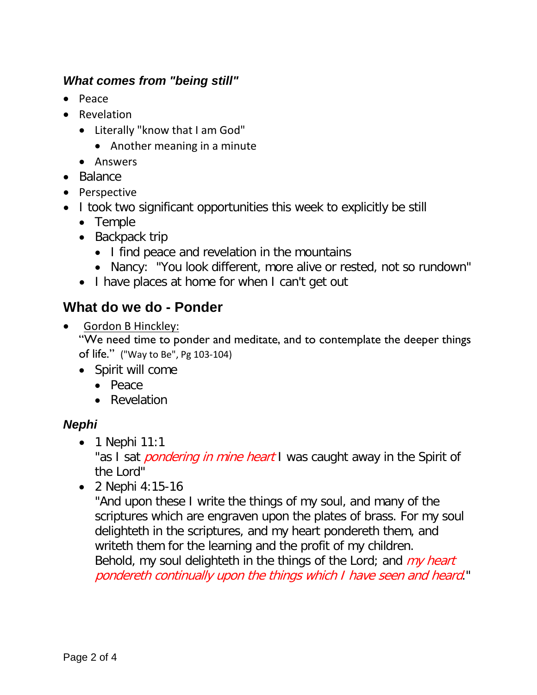#### *What comes from "being still"*

- Peace
- Revelation
	- Literally "know that I am God"
		- Another meaning in a minute
	- Answers
- Balance
- Perspective
- I took two significant opportunities this week to explicitly be still
	- Temple
	- Backpack trip
		- I find peace and revelation in the mountains
		- Nancy: "You look different, more alive or rested, not so rundown"
	- I have places at home for when I can't get out

## **What do we do - Ponder**

• Gordon B Hinckley:

"We need time to ponder and meditate, and to contemplate the deeper things of life." ("Way to Be", Pg 103-104)

- Spirit will come
	- Peace
	- Revelation

#### *Nephi*

• 1 Nephi 11:1

"as I sat *pondering in mine heart* I was caught away in the Spirit of the Lord"

• 2 Nephi 4:15-16

"And upon these I write the things of my soul, and many of the scriptures which are engraven upon the plates of brass. For my soul delighteth in the scriptures, and my heart pondereth them, and writeth them for the learning and the profit of my children. Behold, my soul delighteth in the things of the Lord; and  $my$  heart pondereth continually upon the things which I have seen and heard."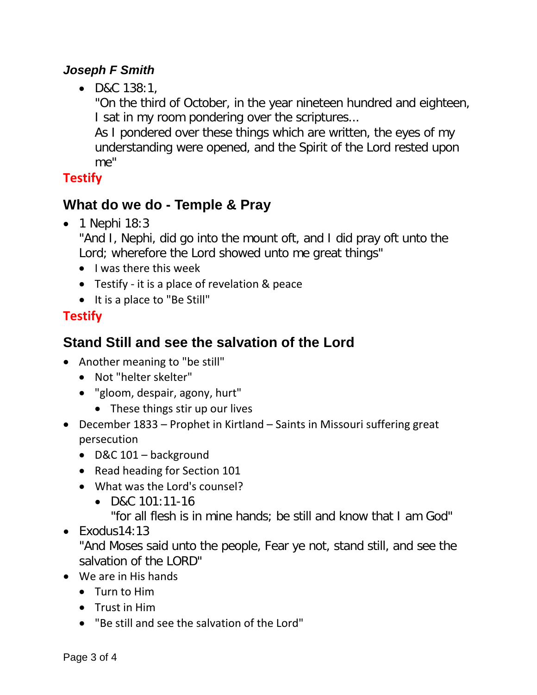### *Joseph F Smith*

• D&C 138:1,

"On the third of October, in the year nineteen hundred and eighteen, I sat in my room pondering over the scriptures...

As I pondered over these things which are written, the eyes of my understanding were opened, and the Spirit of the Lord rested upon me"

# **Testify**

# **What do we do - Temple & Pray**

• 1 Nephi 18:3

"And I, Nephi, did go into the mount oft, and I did pray oft unto the Lord; wherefore the Lord showed unto me great things"

- I was there this week
- Testify it is a place of revelation & peace
- It is a place to "Be Still"

# **Testify**

# **Stand Still and see the salvation of the Lord**

- Another meaning to "be still"
	- Not "helter skelter"
	- "gloom, despair, agony, hurt"
		- These things stir up our lives
- December 1833 Prophet in Kirtland Saints in Missouri suffering great persecution
	- D&C 101 background
	- Read heading for Section 101
	- What was the Lord's counsel?
		- D&C 101:11-16

"for all flesh is in mine hands; be still and know that I am God"

• Exodus14:13

"And Moses said unto the people, Fear ye not, stand still, and see the salvation of the LORD"

- We are in His hands
	- Turn to Him
	- Trust in Him
	- "Be still and see the salvation of the Lord"